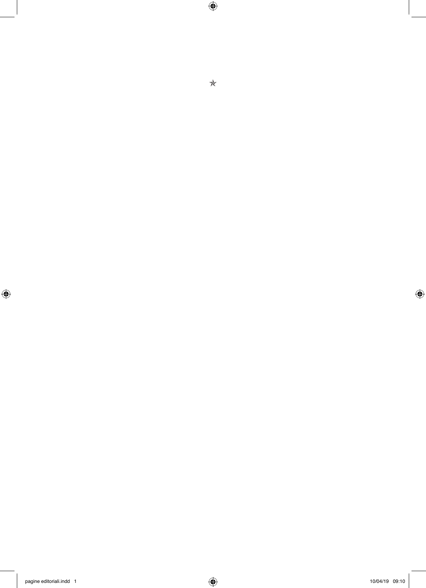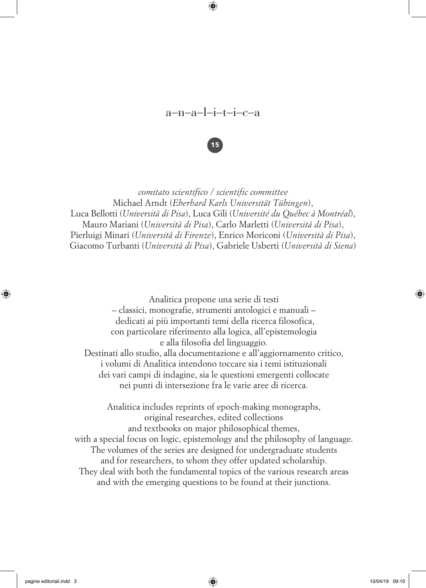#### a–n–a–l–i–t–i–c–a

15

*comitato scientifico / scientific committee* Michael Arndt (*Eberhard Karls Universität Tübingen*), Luca Bellotti (*Università di Pisa*), Luca Gili (*Université du Québec à Montréal*), Mauro Mariani (*Università di Pisa*), Carlo Marletti (*Università di Pisa*), Pierluigi Minari (*Università di Firenze*), Enrico Moriconi (*Università di Pisa*), Giacomo Turbanti (*Università di Pisa*), Gabriele Usberti (*Università di Siena*)

Analitica propone una serie di testi – classici, monografie, strumenti antologici e manuali – dedicati ai più importanti temi della ricerca filosofica, con particolare riferimento alla logica, all'epistemologia e alla filosofia del linguaggio. Destinati allo studio, alla documentazione e all'aggiornamento critico, i volumi di Analitica intendono toccare sia i temi istituzionali dei vari campi di indagine, sia le questioni emergenti collocate nei punti di intersezione fra le varie aree di ricerca.

Analitica includes reprints of epoch-making monographs, original researches, edited collections and textbooks on major philosophical themes, with a special focus on logic, epistemology and the philosophy of language. The volumes of the series are designed for undergraduate students and for researchers, to whom they offer updated scholarship. They deal with both the fundamental topics of the various research areas and with the emerging questions to be found at their junctions.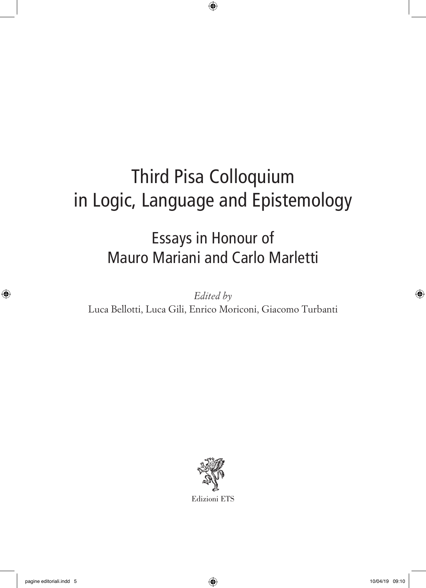# Third Pisa Colloquium in Logic, Language and Epistemology

## Essays in Honour of Mauro Mariani and Carlo Marletti

*Edited by*

Luca Bellotti, Luca Gili, Enrico Moriconi, Giacomo Turbanti



Edizioni ETS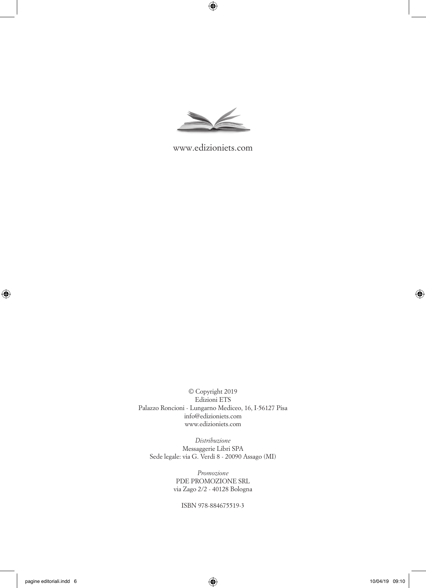

www.edizioniets.com

© Copyright 2019 Edizioni ETS Palazzo Roncioni - Lungarno Mediceo, 16, I-56127 Pisa info@edizioniets.com www.edizioniets.com

*Distribuzione* Messaggerie Libri SPA Sede legale: via G. Verdi 8 - 20090 Assago (MI)

> *Promozione* PDE PROMOZIONE SRL via Zago 2/2 - 40128 Bologna

ISBN 978-884675519-3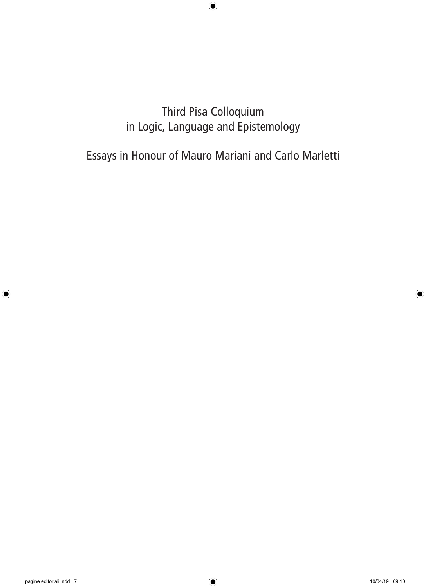## Third Pisa Colloquium in Logic, Language and Epistemology

Essays in Honour of Mauro Mariani and Carlo Marletti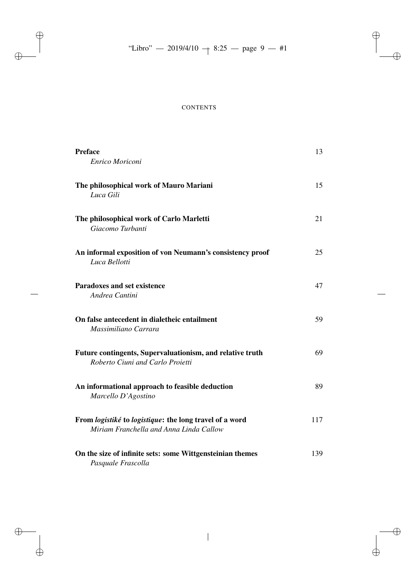#### **CONTENTS**

| <b>Preface</b><br>Enrico Moriconi                                                                  | 13  |
|----------------------------------------------------------------------------------------------------|-----|
| The philosophical work of Mauro Mariani<br>Luca Gili                                               | 15  |
| The philosophical work of Carlo Marletti<br>Giacomo Turbanti                                       | 21  |
| An informal exposition of von Neumann's consistency proof<br>Luca Bellotti                         | 25  |
| Paradoxes and set existence<br>Andrea Cantini                                                      | 47  |
| On false antecedent in dialetheic entailment<br>Massimiliano Carrara                               | 59  |
| Future contingents, Supervaluationism, and relative truth<br>Roberto Ciuni and Carlo Projetti      | 69  |
| An informational approach to feasible deduction<br>Marcello D'Agostino                             | 89  |
| From logistiké to logistique: the long travel of a word<br>Miriam Franchella and Anna Linda Callow | 117 |
| On the size of infinite sets: some Wittgensteinian themes<br>Pasquale Frascolla                    | 139 |

 $\blacksquare$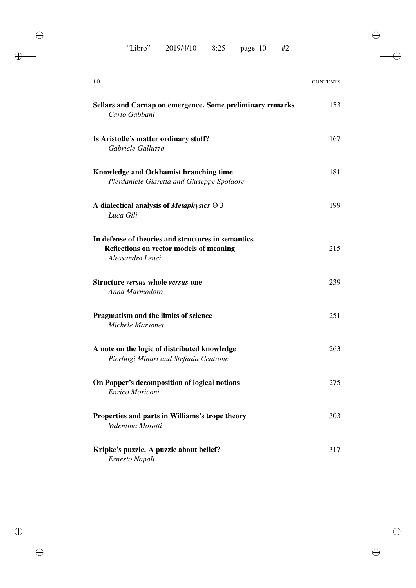| Sellars and Carnap on emergence. Some preliminary remarks<br>Carlo Gabbani                                         | 153 |
|--------------------------------------------------------------------------------------------------------------------|-----|
| Is Aristotle's matter ordinary stuff?<br>Gabriele Galluzzo                                                         | 167 |
| <b>Knowledge and Ockhamist branching time</b><br>Pierdaniele Giaretta and Giuseppe Spolaore                        | 181 |
| A dialectical analysis of <i>Metaphysics</i> $\Theta$ 3<br>Luca Gili                                               | 199 |
| In defense of theories and structures in semantics.<br>Reflections on vector models of meaning<br>Alessandro Lenci | 215 |
| Structure versus whole versus one<br>Anna Marmodoro                                                                | 239 |
| Pragmatism and the limits of science<br>Michele Marsonet                                                           | 251 |
| A note on the logic of distributed knowledge<br>Pierluigi Minari and Stefania Centrone                             | 263 |
| On Popper's decomposition of logical notions<br>Enrico Moriconi                                                    | 275 |
| Properties and parts in Williams's trope theory<br>Valentina Morotti                                               | 303 |
| Kripke's puzzle. A puzzle about belief?<br>Ernesto Napoli                                                          | 317 |

 $\mathbf{u}$ 

- 11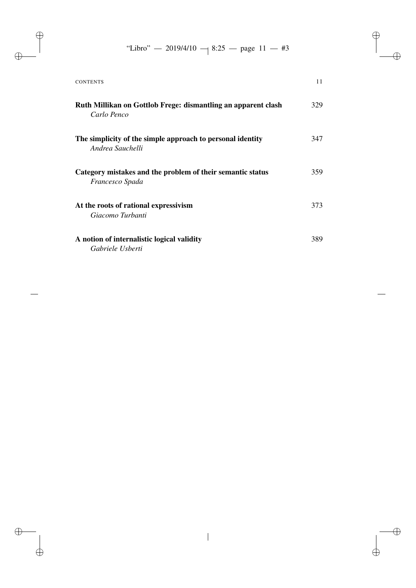| Ruth Millikan on Gottlob Frege: dismantling an apparent clash<br>Carlo Penco   | 329 |
|--------------------------------------------------------------------------------|-----|
| The simplicity of the simple approach to personal identity<br>Andrea Sauchelli | 347 |
| Category mistakes and the problem of their semantic status<br>Francesco Spada  | 359 |
| At the roots of rational expressivism<br>Giacomo Turbanti                      | 373 |
| A notion of internalistic logical validity<br>Gabriele Usberti                 | 389 |

 $\mathbf{r}$ 

- 11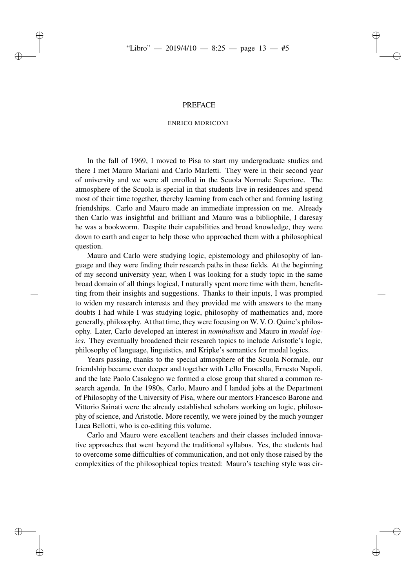#### **PREFACE**

#### ENRICO MORICONI

In the fall of 1969, I moved to Pisa to start my undergraduate studies and there I met Mauro Mariani and Carlo Marletti. They were in their second year of university and we were all enrolled in the Scuola Normale Superiore. The atmosphere of the Scuola is special in that students live in residences and spend most of their time together, thereby learning from each other and forming lasting friendships. Carlo and Mauro made an immediate impression on me. Already then Carlo was insightful and brilliant and Mauro was a bibliophile, I daresay he was a bookworm. Despite their capabilities and broad knowledge, they were down to earth and eager to help those who approached them with a philosophical question.

Mauro and Carlo were studying logic, epistemology and philosophy of language and they were finding their research paths in these fields. At the beginning of my second university year, when I was looking for a study topic in the same broad domain of all things logical, I naturally spent more time with them, benefitting from their insights and suggestions. Thanks to their inputs, I was prompted to widen my research interests and they provided me with answers to the many doubts I had while I was studying logic, philosophy of mathematics and, more generally, philosophy. At that time, they were focusing on W. V. O. Quine's philosophy. Later, Carlo developed an interest in *nominalism* and Mauro in *modal logics*. They eventually broadened their research topics to include Aristotle's logic, philosophy of language, linguistics, and Kripke's semantics for modal logics.

Years passing, thanks to the special atmosphere of the Scuola Normale, our friendship became ever deeper and together with Lello Frascolla, Ernesto Napoli, and the late Paolo Casalegno we formed a close group that shared a common research agenda. In the 1980s, Carlo, Mauro and I landed jobs at the Department of Philosophy of the University of Pisa, where our mentors Francesco Barone and Vittorio Sainati were the already established scholars working on logic, philosophy of science, and Aristotle. More recently, we were joined by the much younger Luca Bellotti, who is co-editing this volume.

Carlo and Mauro were excellent teachers and their classes included innovative approaches that went beyond the traditional syllabus. Yes, the students had to overcome some difficulties of communication, and not only those raised by the complexities of the philosophical topics treated: Mauro's teaching style was cir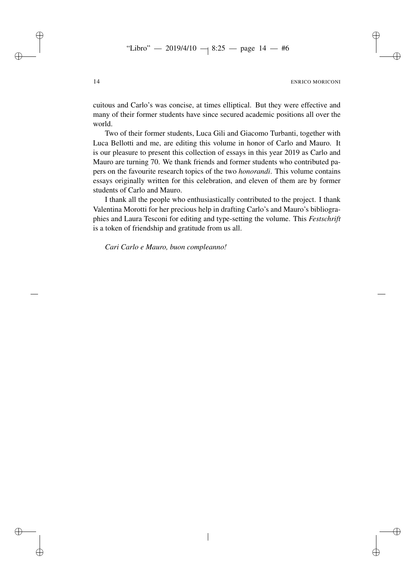cuitous and Carlo's was concise, at times elliptical. But they were effective and many of their former students have since secured academic positions all over the world.

Two of their former students, Luca Gili and Giacomo Turbanti, together with Luca Bellotti and me, are editing this volume in honor of Carlo and Mauro. It is our pleasure to present this collection of essays in this year 2019 as Carlo and Mauro are turning 70. We thank friends and former students who contributed papers on the favourite research topics of the two *honorandi*. This volume contains essays originally written for this celebration, and eleven of them are by former students of Carlo and Mauro.

I thank all the people who enthusiastically contributed to the project. I thank Valentina Morotti for her precious help in drafting Carlo's and Mauro's bibliographies and Laura Tesconi for editing and type-setting the volume. This *Festschrift* is a token of friendship and gratitude from us all.

*Cari Carlo e Mauro, buon compleanno!*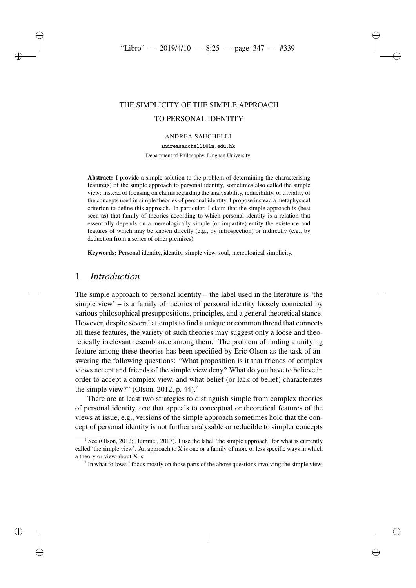## THE SIMPLICITY OF THE SIMPLE APPROACH TO PERSONAL IDENTITY

#### ANDREA SAUCHELLI

andreasauchelli@ln.edu.hk Department of Philosophy, Lingnan University

Abstract: I provide a simple solution to the problem of determining the characterising feature(s) of the simple approach to personal identity, sometimes also called the simple view: instead of focusing on claims regarding the analysability, reducibility, or triviality of the concepts used in simple theories of personal identity, I propose instead a metaphysical criterion to define this approach. In particular, I claim that the simple approach is (best seen as) that family of theories according to which personal identity is a relation that essentially depends on a mereologically simple (or impartite) entity the existence and features of which may be known directly (e.g., by introspection) or indirectly (e.g., by deduction from a series of other premises).

Keywords: Personal identity, identity, simple view, soul, mereological simplicity.

#### 1 *Introduction*

The simple approach to personal identity – the label used in the literature is 'the simple view' – is a family of theories of personal identity loosely connected by various philosophical presuppositions, principles, and a general theoretical stance. However, despite several attempts to find a unique or common thread that connects all these features, the variety of such theories may suggest only a loose and theoretically irrelevant resemblance among them.<sup>1</sup> The problem of finding a unifying feature among these theories has been specified by Eric Olson as the task of answering the following questions: "What proposition is it that friends of complex views accept and friends of the simple view deny? What do you have to believe in order to accept a complex view, and what belief (or lack of belief) characterizes the simple view?" (Olson, 2012, p. 44).<sup>2</sup>

There are at least two strategies to distinguish simple from complex theories of personal identity, one that appeals to conceptual or theoretical features of the views at issue, e.g., versions of the simple approach sometimes hold that the concept of personal identity is not further analysable or reducible to simpler concepts

<sup>&</sup>lt;sup>1</sup> See (Olson, 2012; Hummel, 2017). I use the label 'the simple approach' for what is currently called 'the simple view'. An approach to X is one or a family of more or less specific ways in which a theory or view about X is.

 $2 \text{ In what follows I focus mostly on those parts of the above questions involving the simple view.}$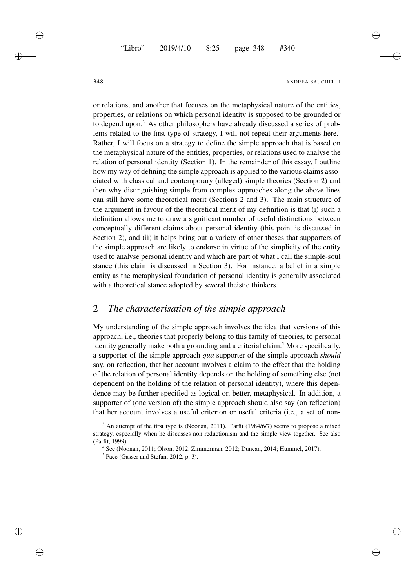or relations, and another that focuses on the metaphysical nature of the entities, properties, or relations on which personal identity is supposed to be grounded or to depend upon.<sup>3</sup> As other philosophers have already discussed a series of problems related to the first type of strategy, I will not repeat their arguments here.<sup>4</sup> Rather, I will focus on a strategy to define the simple approach that is based on the metaphysical nature of the entities, properties, or relations used to analyse the relation of personal identity (Section 1). In the remainder of this essay, I outline how my way of defining the simple approach is applied to the various claims associated with classical and contemporary (alleged) simple theories (Section 2) and then why distinguishing simple from complex approaches along the above lines can still have some theoretical merit (Sections 2 and 3). The main structure of the argument in favour of the theoretical merit of my definition is that (i) such a definition allows me to draw a significant number of useful distinctions between conceptually different claims about personal identity (this point is discussed in Section 2), and (ii) it helps bring out a variety of other theses that supporters of the simple approach are likely to endorse in virtue of the simplicity of the entity used to analyse personal identity and which are part of what I call the simple-soul stance (this claim is discussed in Section 3). For instance, a belief in a simple entity as the metaphysical foundation of personal identity is generally associated with a theoretical stance adopted by several theistic thinkers.

### 2 *The characterisation of the simple approach*

My understanding of the simple approach involves the idea that versions of this approach, i.e., theories that properly belong to this family of theories, to personal identity generally make both a grounding and a criterial claim.<sup>5</sup> More specifically, a supporter of the simple approach *qua* supporter of the simple approach *should* say, on reflection, that her account involves a claim to the effect that the holding of the relation of personal identity depends on the holding of something else (not dependent on the holding of the relation of personal identity), where this dependence may be further specified as logical or, better, metaphysical. In addition, a supporter of (one version of) the simple approach should also say (on reflection) that her account involves a useful criterion or useful criteria (i.e., a set of non-

 $3$  An attempt of the first type is (Noonan, 2011). Parfit (1984/6/7) seems to propose a mixed strategy, especially when he discusses non-reductionism and the simple view together. See also (Parfit, 1999).

<sup>4</sup> See (Noonan, 2011; Olson, 2012; Zimmerman, 2012; Duncan, 2014; Hummel, 2017).

 $<sup>5</sup>$  Pace (Gasser and Stefan, 2012, p. 3).</sup>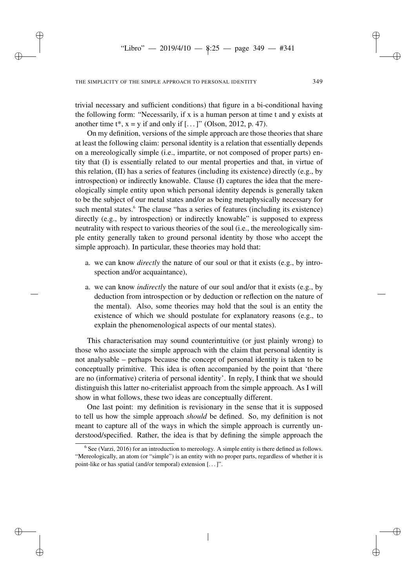trivial necessary and sufficient conditions) that figure in a bi-conditional having the following form: "Necessarily, if x is a human person at time t and y exists at another time  $t^*$ ,  $x = y$  if and only if [...]" (Olson, 2012, p. 47).

On my definition, versions of the simple approach are those theories that share at least the following claim: personal identity is a relation that essentially depends on a mereologically simple (i.e., impartite, or not composed of proper parts) entity that (I) is essentially related to our mental properties and that, in virtue of this relation, (II) has a series of features (including its existence) directly (e.g., by introspection) or indirectly knowable. Clause (I) captures the idea that the mereologically simple entity upon which personal identity depends is generally taken to be the subject of our metal states and/or as being metaphysically necessary for such mental states.<sup>6</sup> The clause "has a series of features (including its existence) directly (e.g., by introspection) or indirectly knowable" is supposed to express neutrality with respect to various theories of the soul (i.e., the mereologically simple entity generally taken to ground personal identity by those who accept the simple approach). In particular, these theories may hold that:

- a. we can know *directly* the nature of our soul or that it exists (e.g., by introspection and/or acquaintance),
- a. we can know *indirectly* the nature of our soul and/or that it exists (e.g., by deduction from introspection or by deduction or reflection on the nature of the mental). Also, some theories may hold that the soul is an entity the existence of which we should postulate for explanatory reasons (e.g., to explain the phenomenological aspects of our mental states).

This characterisation may sound counterintuitive (or just plainly wrong) to those who associate the simple approach with the claim that personal identity is not analysable – perhaps because the concept of personal identity is taken to be conceptually primitive. This idea is often accompanied by the point that 'there are no (informative) criteria of personal identity'. In reply, I think that we should distinguish this latter no-criterialist approach from the simple approach. As I will show in what follows, these two ideas are conceptually different.

One last point: my definition is revisionary in the sense that it is supposed to tell us how the simple approach *should* be defined. So, my definition is not meant to capture all of the ways in which the simple approach is currently understood/specified. Rather, the idea is that by defining the simple approach the

 $6$  See (Varzi, 2016) for an introduction to mereology. A simple entity is there defined as follows. "Mereologically, an atom (or "simple") is an entity with no proper parts, regardless of whether it is point-like or has spatial (and/or temporal) extension [. . . ]".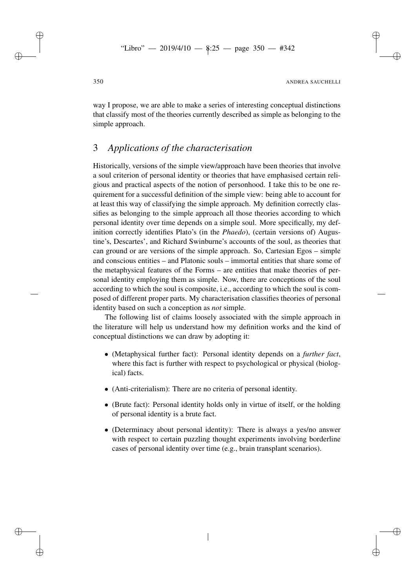way I propose, we are able to make a series of interesting conceptual distinctions that classify most of the theories currently described as simple as belonging to the simple approach.

#### 3 *Applications of the characterisation*

Historically, versions of the simple view/approach have been theories that involve a soul criterion of personal identity or theories that have emphasised certain religious and practical aspects of the notion of personhood. I take this to be one requirement for a successful definition of the simple view: being able to account for at least this way of classifying the simple approach. My definition correctly classifies as belonging to the simple approach all those theories according to which personal identity over time depends on a simple soul. More specifically, my definition correctly identifies Plato's (in the *Phaedo*), (certain versions of) Augustine's, Descartes', and Richard Swinburne's accounts of the soul, as theories that can ground or are versions of the simple approach. So, Cartesian Egos – simple and conscious entities – and Platonic souls – immortal entities that share some of the metaphysical features of the Forms – are entities that make theories of personal identity employing them as simple. Now, there are conceptions of the soul according to which the soul is composite, i.e., according to which the soul is composed of different proper parts. My characterisation classifies theories of personal identity based on such a conception as *not* simple.

The following list of claims loosely associated with the simple approach in the literature will help us understand how my definition works and the kind of conceptual distinctions we can draw by adopting it:

- (Metaphysical further fact): Personal identity depends on a *further fact*, where this fact is further with respect to psychological or physical (biological) facts.
- (Anti-criterialism): There are no criteria of personal identity.
- (Brute fact): Personal identity holds only in virtue of itself, or the holding of personal identity is a brute fact.
- (Determinacy about personal identity): There is always a yes/no answer with respect to certain puzzling thought experiments involving borderline cases of personal identity over time (e.g., brain transplant scenarios).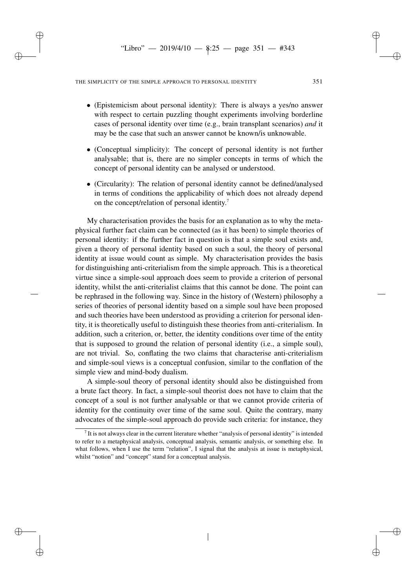- (Epistemicism about personal identity): There is always a yes/no answer with respect to certain puzzling thought experiments involving borderline cases of personal identity over time (e.g., brain transplant scenarios) *and* it may be the case that such an answer cannot be known/is unknowable.
- (Conceptual simplicity): The concept of personal identity is not further analysable; that is, there are no simpler concepts in terms of which the concept of personal identity can be analysed or understood.
- (Circularity): The relation of personal identity cannot be defined/analysed in terms of conditions the applicability of which does not already depend on the concept/relation of personal identity.<sup>7</sup>

My characterisation provides the basis for an explanation as to why the metaphysical further fact claim can be connected (as it has been) to simple theories of personal identity: if the further fact in question is that a simple soul exists and, given a theory of personal identity based on such a soul, the theory of personal identity at issue would count as simple. My characterisation provides the basis for distinguishing anti-criterialism from the simple approach. This is a theoretical virtue since a simple-soul approach does seem to provide a criterion of personal identity, whilst the anti-criterialist claims that this cannot be done. The point can be rephrased in the following way. Since in the history of (Western) philosophy a series of theories of personal identity based on a simple soul have been proposed and such theories have been understood as providing a criterion for personal identity, it is theoretically useful to distinguish these theories from anti-criterialism. In addition, such a criterion, or, better, the identity conditions over time of the entity that is supposed to ground the relation of personal identity (i.e., a simple soul), are not trivial. So, conflating the two claims that characterise anti-criterialism and simple-soul views is a conceptual confusion, similar to the conflation of the simple view and mind-body dualism.

A simple-soul theory of personal identity should also be distinguished from a brute fact theory. In fact, a simple-soul theorist does not have to claim that the concept of a soul is not further analysable or that we cannot provide criteria of identity for the continuity over time of the same soul. Quite the contrary, many advocates of the simple-soul approach do provide such criteria: for instance, they

 $<sup>7</sup>$  It is not always clear in the current literature whether "analysis of personal identity" is intended</sup> to refer to a metaphysical analysis, conceptual analysis, semantic analysis, or something else. In what follows, when I use the term "relation", I signal that the analysis at issue is metaphysical, whilst "notion" and "concept" stand for a conceptual analysis.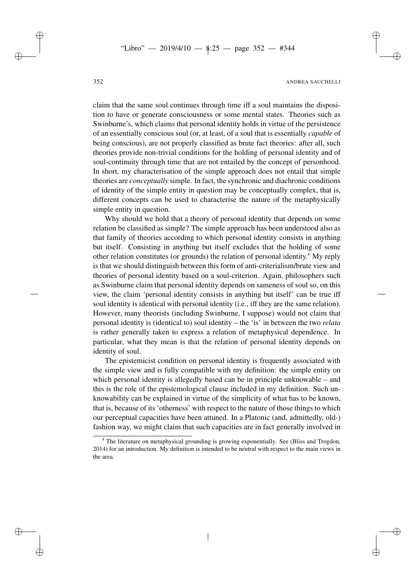claim that the same soul continues through time iff a soul maintains the disposition to have or generate consciousness or some mental states. Theories such as Swinburne's, which claims that personal identity holds in virtue of the persistence of an essentially conscious soul (or, at least, of a soul that is essentially *capable* of being conscious), are not properly classified as brute fact theories: after all, such theories provide non-trivial conditions for the holding of personal identity and of soul-continuity through time that are not entailed by the concept of personhood. In short, my characterisation of the simple approach does not entail that simple theories are *conceptually* simple. In fact, the synchronic and diachronic conditions of identity of the simple entity in question may be conceptually complex, that is, different concepts can be used to characterise the nature of the metaphysically simple entity in question.

Why should we hold that a theory of personal identity that depends on some relation be classified as simple? The simple approach has been understood also as that family of theories according to which personal identity consists in anything but itself. Consisting in anything but itself excludes that the holding of some other relation constitutes (or grounds) the relation of personal identity.<sup>8</sup> My reply is that we should distinguish between this form of anti-criterialism/brute view and theories of personal identity based on a soul-criterion. Again, philosophers such as Swinburne claim that personal identity depends on sameness of soul so, on this view, the claim 'personal identity consists in anything but itself' can be true iff soul identity is identical with personal identity (i.e., iff they are the same relation). However, many theorists (including Swinburne, I suppose) would not claim that personal identity is (identical to) soul identity – the 'is' in between the two *relata* is rather generally taken to express a relation of metaphysical dependence. In particular, what they mean is that the relation of personal identity depends on identity of soul.

The epistemicist condition on personal identity is frequently associated with the simple view and is fully compatible with my definition: the simple entity on which personal identity is allegedly based can be in principle unknowable – and this is the role of the epistemological clause included in my definition. Such unknowability can be explained in virtue of the simplicity of what has to be known, that is, because of its 'otherness' with respect to the nature of those things to which our perceptual capacities have been attuned. In a Platonic (and, admittedly, old-) fashion way, we might claim that such capacities are in fact generally involved in

<sup>&</sup>lt;sup>8</sup> The literature on metaphysical grounding is growing exponentially. See (Bliss and Trogdon, 2014) for an introduction. My definition is intended to be neutral with respect to the main views in the area.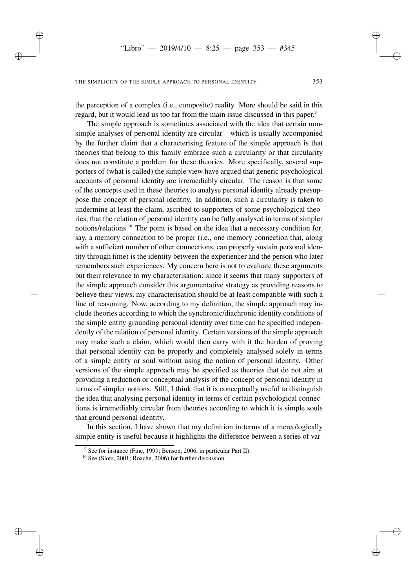the perception of a complex (i.e., composite) reality. More should be said in this regard, but it would lead us too far from the main issue discussed in this paper.<sup>9</sup>

The simple approach is sometimes associated with the idea that certain nonsimple analyses of personal identity are circular – which is usually accompanied by the further claim that a characterising feature of the simple approach is that theories that belong to this family embrace such a circularity or that circularity does not constitute a problem for these theories. More specifically, several supporters of (what is called) the simple view have argued that generic psychological accounts of personal identity are irremediably circular. The reason is that some of the concepts used in these theories to analyse personal identity already presuppose the concept of personal identity. In addition, such a circularity is taken to undermine at least the claim, ascribed to supporters of some psychological theories, that the relation of personal identity can be fully analysed in terms of simpler notions/relations.<sup>10</sup> The point is based on the idea that a necessary condition for, say, a memory connection to be proper (i.e., one memory connection that, along with a sufficient number of other connections, can properly sustain personal identity through time) is the identity between the experiencer and the person who later remembers such experiences. My concern here is not to evaluate these arguments but their relevance to my characterisation: since it seems that many supporters of the simple approach consider this argumentative strategy as providing reasons to believe their views, my characterisation should be at least compatible with such a line of reasoning. Now, according to my definition, the simple approach may include theories according to which the synchronic/diachronic identity conditions of the simple entity grounding personal identity over time can be specified independently of the relation of personal identity. Certain versions of the simple approach may make such a claim, which would then carry with it the burden of proving that personal identity can be properly and completely analysed solely in terms of a simple entity or soul without using the notion of personal identity. Other versions of the simple approach may be specified as theories that do not aim at providing a reduction or conceptual analysis of the concept of personal identity in terms of simpler notions. Still, I think that it is conceptually useful to distinguish the idea that analysing personal identity in terms of certain psychological connections is irremediably circular from theories according to which it is simple souls that ground personal identity.

In this section, I have shown that my definition in terms of a mereologically simple entity is useful because it highlights the difference between a series of var-

<sup>&</sup>lt;sup>9</sup> See for instance (Fine, 1999; Benson, 2006, in particular Part II).

<sup>10</sup> See (Slors, 2001; Roache, 2006) for further discussion.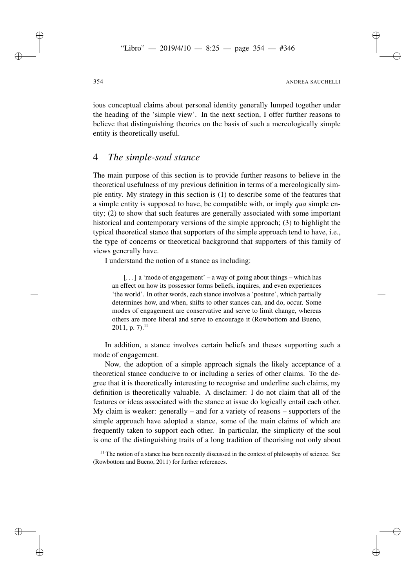ious conceptual claims about personal identity generally lumped together under the heading of the 'simple view'. In the next section, I offer further reasons to believe that distinguishing theories on the basis of such a mereologically simple entity is theoretically useful.

#### 4 *The simple-soul stance*

The main purpose of this section is to provide further reasons to believe in the theoretical usefulness of my previous definition in terms of a mereologically simple entity. My strategy in this section is (1) to describe some of the features that a simple entity is supposed to have, be compatible with, or imply *qua* simple entity; (2) to show that such features are generally associated with some important historical and contemporary versions of the simple approach; (3) to highlight the typical theoretical stance that supporters of the simple approach tend to have, i.e., the type of concerns or theoretical background that supporters of this family of views generally have.

I understand the notion of a stance as including:

 $[\dots]$  a 'mode of engagement' – a way of going about things – which has an effect on how its possessor forms beliefs, inquires, and even experiences 'the world'. In other words, each stance involves a 'posture', which partially determines how, and when, shifts to other stances can, and do, occur. Some modes of engagement are conservative and serve to limit change, whereas others are more liberal and serve to encourage it (Rowbottom and Bueno,  $2011$ , p. 7).<sup>11</sup>

In addition, a stance involves certain beliefs and theses supporting such a mode of engagement.

Now, the adoption of a simple approach signals the likely acceptance of a theoretical stance conducive to or including a series of other claims. To the degree that it is theoretically interesting to recognise and underline such claims, my definition is theoretically valuable. A disclaimer: I do not claim that all of the features or ideas associated with the stance at issue do logically entail each other. My claim is weaker: generally – and for a variety of reasons – supporters of the simple approach have adopted a stance, some of the main claims of which are frequently taken to support each other. In particular, the simplicity of the soul is one of the distinguishing traits of a long tradition of theorising not only about

<sup>&</sup>lt;sup>11</sup> The notion of a stance has been recently discussed in the context of philosophy of science. See (Rowbottom and Bueno, 2011) for further references.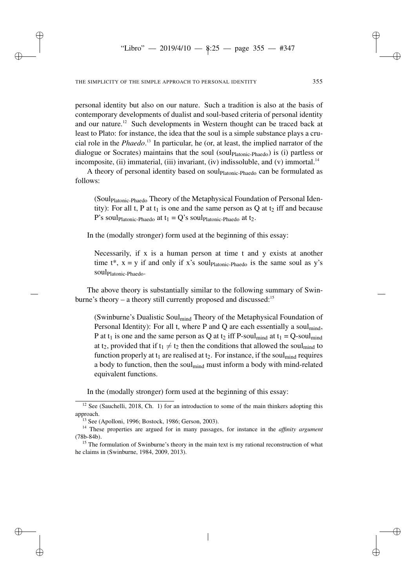personal identity but also on our nature. Such a tradition is also at the basis of contemporary developments of dualist and soul-based criteria of personal identity and our nature.<sup>12</sup> Such developments in Western thought can be traced back at least to Plato: for instance, the idea that the soul is a simple substance plays a crucial role in the *Phaedo*. <sup>13</sup> In particular, he (or, at least, the implied narrator of the dialogue or Socrates) maintains that the soul (soulPlatonic-Phaedo) is (i) partless or incomposite, (ii) immaterial, (iii) invariant, (iv) indissoluble, and (v) immortal.<sup>14</sup>

A theory of personal identity based on soul<sub>Platonic-Phaedo</sub> can be formulated as follows:

(SoulPlatonic-Phaedo Theory of the Metaphysical Foundation of Personal Identity): For all t, P at  $t_1$  is one and the same person as Q at  $t_2$  iff and because P's soulplatonic-Phaedo at  $t_1 = Q$ 's soulplatonic-Phaedo at  $t_2$ .

In the (modally stronger) form used at the beginning of this essay:

Necessarily, if x is a human person at time t and y exists at another time  $t^*$ ,  $x = y$  if and only if x's soul<sub>Platonic-Phaedo</sub> is the same soul as y's soulPlatonic-Phaedo.

The above theory is substantially similar to the following summary of Swinburne's theory – a theory still currently proposed and discussed:<sup>15</sup>

(Swinburne's Dualistic Soulmind Theory of the Metaphysical Foundation of Personal Identity): For all t, where P and Q are each essentially a soul<sub>mind</sub>, P at  $t_1$  is one and the same person as Q at  $t_2$  iff P-soul<sub>mind</sub> at  $t_1 = Q$ -soul<sub>mind</sub> at t<sub>2</sub>, provided that if  $t_1 \neq t_2$  then the conditions that allowed the soul<sub>mind</sub> to function properly at  $t_1$  are realised at  $t_2$ . For instance, if the soul<sub>mind</sub> requires a body to function, then the soul<sub>mind</sub> must inform a body with mind-related equivalent functions.

In the (modally stronger) form used at the beginning of this essay:

 $12$  See (Sauchelli, 2018, Ch. 1) for an introduction to some of the main thinkers adopting this approach.

<sup>&</sup>lt;sup>13</sup> See (Apolloni, 1996; Bostock, 1986; Gerson, 2003).

<sup>14</sup> These properties are argued for in many passages, for instance in the *affinity argument* (78b-84b).

<sup>&</sup>lt;sup>15</sup> The formulation of Swinburne's theory in the main text is my rational reconstruction of what he claims in (Swinburne, 1984, 2009, 2013).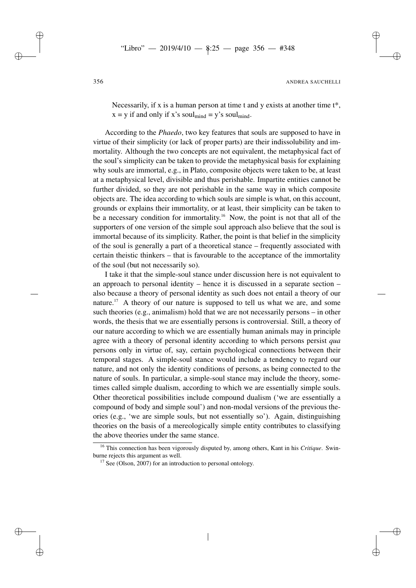Necessarily, if x is a human person at time t and y exists at another time t\*,  $x = y$  if and only if x's soul<sub>mind</sub> = y's soul<sub>mind</sub>.

According to the *Phaedo*, two key features that souls are supposed to have in virtue of their simplicity (or lack of proper parts) are their indissolubility and immortality. Although the two concepts are not equivalent, the metaphysical fact of the soul's simplicity can be taken to provide the metaphysical basis for explaining why souls are immortal, e.g., in Plato, composite objects were taken to be, at least at a metaphysical level, divisible and thus perishable. Impartite entities cannot be further divided, so they are not perishable in the same way in which composite objects are. The idea according to which souls are simple is what, on this account, grounds or explains their immortality, or at least, their simplicity can be taken to be a necessary condition for immortality.<sup>16</sup> Now, the point is not that all of the supporters of one version of the simple soul approach also believe that the soul is immortal because of its simplicity. Rather, the point is that belief in the simplicity of the soul is generally a part of a theoretical stance – frequently associated with certain theistic thinkers – that is favourable to the acceptance of the immortality of the soul (but not necessarily so).

I take it that the simple-soul stance under discussion here is not equivalent to an approach to personal identity – hence it is discussed in a separate section – also because a theory of personal identity as such does not entail a theory of our nature.<sup>17</sup> A theory of our nature is supposed to tell us what we are, and some such theories (e.g., animalism) hold that we are not necessarily persons  $-$  in other words, the thesis that we are essentially persons is controversial. Still, a theory of our nature according to which we are essentially human animals may in principle agree with a theory of personal identity according to which persons persist *qua* persons only in virtue of, say, certain psychological connections between their temporal stages. A simple-soul stance would include a tendency to regard our nature, and not only the identity conditions of persons, as being connected to the nature of souls. In particular, a simple-soul stance may include the theory, sometimes called simple dualism, according to which we are essentially simple souls. Other theoretical possibilities include compound dualism ('we are essentially a compound of body and simple soul') and non-modal versions of the previous theories (e.g., 'we are simple souls, but not essentially so'). Again, distinguishing theories on the basis of a mereologically simple entity contributes to classifying the above theories under the same stance.

<sup>16</sup> This connection has been vigorously disputed by, among others, Kant in his *Critique*. Swinburne rejects this argument as well.

 $17$  See (Olson, 2007) for an introduction to personal ontology.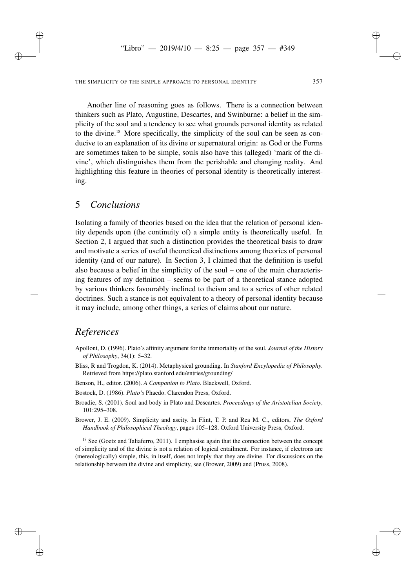Another line of reasoning goes as follows. There is a connection between thinkers such as Plato, Augustine, Descartes, and Swinburne: a belief in the simplicity of the soul and a tendency to see what grounds personal identity as related to the divine.<sup>18</sup> More specifically, the simplicity of the soul can be seen as conducive to an explanation of its divine or supernatural origin: as God or the Forms are sometimes taken to be simple, souls also have this (alleged) 'mark of the divine', which distinguishes them from the perishable and changing reality. And highlighting this feature in theories of personal identity is theoretically interesting.

#### 5 *Conclusions*

Isolating a family of theories based on the idea that the relation of personal identity depends upon (the continuity of) a simple entity is theoretically useful. In Section 2, I argued that such a distinction provides the theoretical basis to draw and motivate a series of useful theoretical distinctions among theories of personal identity (and of our nature). In Section 3, I claimed that the definition is useful also because a belief in the simplicity of the soul – one of the main characterising features of my definition – seems to be part of a theoretical stance adopted by various thinkers favourably inclined to theism and to a series of other related doctrines. Such a stance is not equivalent to a theory of personal identity because it may include, among other things, a series of claims about our nature.

## *References*

- Apolloni, D. (1996). Plato's affinity argument for the immortality of the soul. *Journal of the History of Philosophy*, 34(1): 5–32.
- Bliss, R and Trogdon, K. (2014). Metaphysical grounding. In *Stanford Encylopedia of Philosophy*. Retrieved from https://plato.stanford.edu/entries/grounding/
- Benson, H., editor. (2006). *A Companion to Plato*. Blackwell, Oxford.
- Bostock, D. (1986). *Plato's* Phaedo. Clarendon Press, Oxford.
- Broadie, S. (2001). Soul and body in Plato and Descartes. *Proceedings of the Aristotelian Society*, 101:295–308.

Brower, J. E. (2009). Simplicity and aseity. In Flint, T. P. and Rea M. C., editors, *The Oxford Handbook of Philosophical Theology*, pages 105–128. Oxford University Press, Oxford.

<sup>&</sup>lt;sup>18</sup> See (Goetz and Taliaferro, 2011). I emphasise again that the connection between the concept of simplicity and of the divine is not a relation of logical entailment. For instance, if electrons are (mereologically) simple, this, in itself, does not imply that they are divine. For discussions on the relationship between the divine and simplicity, see (Brower, 2009) and (Pruss, 2008).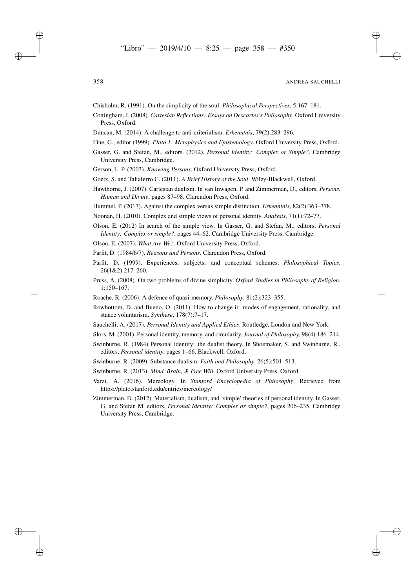Chisholm, R. (1991). On the simplicity of the soul. *Philosophical Perspectives*, 5:167–181.

- Cottingham, J. (2008). *Cartesian Reflections: Essays on Descartes's Philosophy*. Oxford University Press, Oxford.
- Duncan, M. (2014). A challenge to anti-criterialism. *Erkenntnis*, 79(2):283–296.
- Fine, G., editor (1999). *Plato 1: Metaphysics and Epistemology*. Oxford University Press, Oxford.
- Gasser, G. and Stefan, M., editors. (2012). *Personal Identity: Complex or Simple?*. Cambridge University Press, Cambridge.
- Gerson, L. P. (2003). *Knowing Persons*. Oxford University Press, Oxford.
- Goetz, S. and Taliaferro C. (2011). *A Brief History of the Soul*. Wiley-Blackwell, Oxford.
- Hawthorne, J. (2007). Cartesian dualism. In van Inwagen, P. and Zimmerman, D., editors, *Persons. Human and Divine*, pages 87–98. Clarendon Press, Oxford.
- Hummel, P. (2017). Against the complex versus simple distinction. *Erkenntnis*, 82(2):363–378.
- Noonan, H. (2010). Complex and simple views of personal identity. *Analysis*, 71(1):72–77.
- Olson, E. (2012) In search of the simple view. In Gasser, G. and Stefan, M., editors, *Personal Identity: Complex or simple?*, pages 44–62. Cambridge University Press, Cambridge.
- Olson, E. (2007). *What Are We?*. Oxford University Press, Oxford.
- Parfit, D. (1984/6/7). *Reasons and Persons*. Clarendon Press, Oxford.
- Parfit, D. (1999). Experiences, subjects, and conceptual schemes. *Philosophical Topics*, 26(1&2):217–260.
- Pruss, A. (2008). On two problems of divine simplicity. *Oxford Studies in Philosophy of Religion*, 1:150–167.
- Roache, R. (2006). A defence of quasi-memory. *Philosophy*, 81(2):323–355.
- Rowbottom, D. and Bueno, O. (2011). How to change it: modes of engagement, rationality, and stance voluntarism. *Synthese*, 178(7):7–17.
- Sauchelli, A. (2017). *Personal Identity and Applied Ethics*. Routledge, London and New York.
- Slors, M. (2001). Personal identity, memory, and circularity. *Journal of Philosophy*, 98(4):186–214.
- Swinburne, R. (1984) Personal identity: the dualist theory. In Shoemaker, S. and Swinburne, R., editors, *Personal identity*, pages 1–66. Blackwell, Oxford.
- Swinburne, R. (2009). Substance dualism. *Faith and Philosophy*, 26(5):501–513.
- Swinburne, R. (2013). *Mind, Brain, & Free Will*. Oxford University Press, Oxford.
- Varzi, A. (2016). Mereology. In *Stanford Encyclopedia of Philosophy*. Retrieved from https://plato.stanford.edu/entries/mereology/
- Zimmerman, D. (2012). Materialism, dualism, and 'simple' theories of personal identity. In Gasser, G. and Stefan M. editors, *Personal Identity: Complex or simple?*, pages 206–235. Cambridge University Press, Cambridge.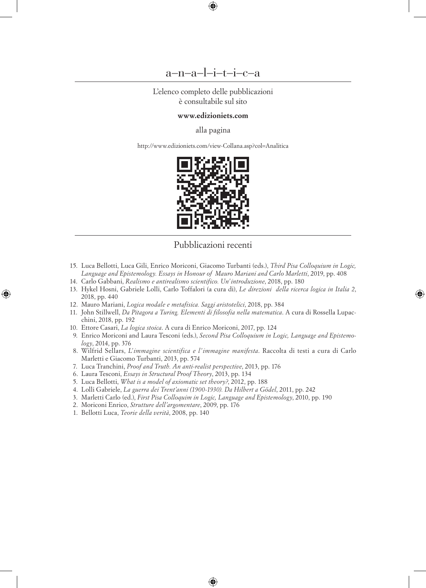a–n–a–l–i–t–i–c–a

L'elenco completo delle pubblicazioni è consultabile sul sito

#### **www.edizioniets.com**

alla pagina

http://www.edizioniets.com/view-Collana.asp?col=Analitica



#### Pubblicazioni recenti

- 15. Luca Bellotti, Luca Gili, Enrico Moriconi, Giacomo Turbanti (eds.), *Third Pisa Colloquium in Logic, Language and Epistemology. Essays in Honour of Mauro Mariani and Carlo Marletti*, 2019, pp. 408
- 14. Carlo Gabbani, *Realismo e antirealismo scientifico. Un'introduzione*, 2018, pp. 180
- 13. Hykel Hosni, Gabriele Lolli, Carlo Toffalori (a cura di), *Le direzioni della ricerca logica in Italia 2*, 2018, pp. 440
- 12. Mauro Mariani, *Logica modale e metafisica. Saggi aristotelici*, 2018, pp. 384
- 11. John Stillwell, *Da Pitagora a Turing. Elementi di filosofia nella matematica*. A cura di Rossella Lupacchini, 2018, pp. 192
- 10. Ettore Casari, *La logica stoica*. A cura di Enrico Moriconi, 2017, pp. 124
- 9. Enrico Moriconi and Laura Tesconi (eds.), *Second Pisa Colloquium in Logic, Language and Epistemology*, 2014, pp. 376
- 8. Wilfrid Sellars, *L'immagine scientifica e l'immagine manifesta*. Raccolta di testi a cura di Carlo Marletti e Giacomo Turbanti, 2013, pp. 574
- 7. Luca Tranchini, *Proof and Truth. An anti-realist perspective*, 2013, pp. 176
- 6. Laura Tesconi, *Essays in Structural Proof Theory*, 2013, pp. 134
- 5. Luca Bellotti, *What is a model of axiomatic set theory?*, 2012, pp. 188
- 4. Lolli Gabriele, *La guerra dei Trent'anni (1900-1930). Da Hilbert a Gödel*, 2011, pp. 242
- 3. Marletti Carlo (ed.), *First Pisa Colloquim in Logic, Language and Epistemology*, 2010, pp. 190
- 2. Moriconi Enrico, *Strutture dell'argomentare*, 2009, pp. 176
- 1. Bellotti Luca, *Teorie della verità*, 2008, pp. 140